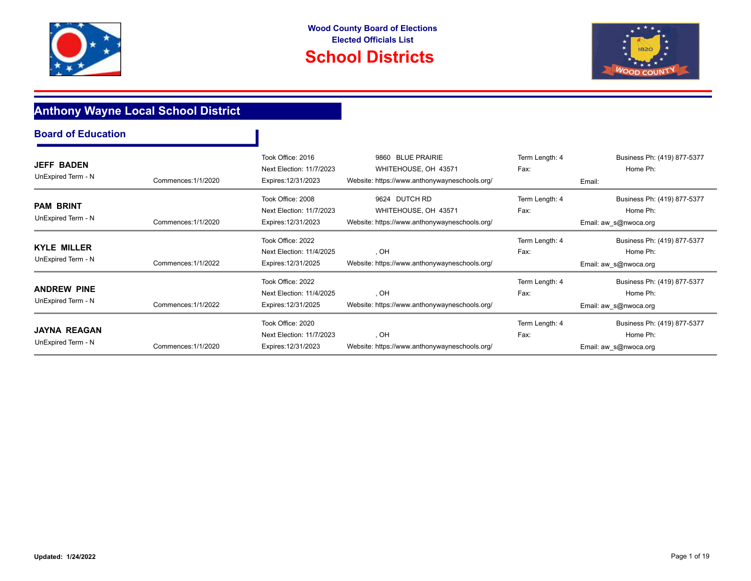





## **Anthony Wayne Local School District**

| <b>Board of Education</b>                 |                     |                                                                      |                                                                                                      |                        |                                                                  |
|-------------------------------------------|---------------------|----------------------------------------------------------------------|------------------------------------------------------------------------------------------------------|------------------------|------------------------------------------------------------------|
| <b>JEFF BADEN</b><br>UnExpired Term - N   | Commences: 1/1/2020 | Took Office: 2016<br>Next Election: 11/7/2023<br>Expires: 12/31/2023 | <b>BLUE PRAIRIE</b><br>9860<br>WHITEHOUSE, OH 43571<br>Website: https://www.anthonywayneschools.org/ | Term Length: 4<br>Fax: | Business Ph: (419) 877-5377<br>Home Ph:<br>Email:                |
| <b>PAM BRINT</b><br>UnExpired Term - N    | Commences: 1/1/2020 | Took Office: 2008<br>Next Election: 11/7/2023<br>Expires: 12/31/2023 | 9624 DUTCH RD<br>WHITEHOUSE, OH 43571<br>Website: https://www.anthonywayneschools.org/               | Term Length: 4<br>Fax: | Business Ph: (419) 877-5377<br>Home Ph:<br>Email: aw_s@nwoca.org |
| <b>KYLE MILLER</b><br>UnExpired Term - N  | Commences: 1/1/2022 | Took Office: 2022<br>Next Election: 11/4/2025<br>Expires: 12/31/2025 | , OH<br>Website: https://www.anthonywayneschools.org/                                                | Term Length: 4<br>Fax: | Business Ph: (419) 877-5377<br>Home Ph:<br>Email: aw_s@nwoca.org |
| <b>ANDREW PINE</b><br>UnExpired Term - N  | Commences: 1/1/2022 | Took Office: 2022<br>Next Election: 11/4/2025<br>Expires: 12/31/2025 | , OH<br>Website: https://www.anthonywayneschools.org/                                                | Term Length: 4<br>Fax: | Business Ph: (419) 877-5377<br>Home Ph:<br>Email: aw_s@nwoca.org |
| <b>JAYNA REAGAN</b><br>UnExpired Term - N | Commences: 1/1/2020 | Took Office: 2020<br>Next Election: 11/7/2023<br>Expires: 12/31/2023 | , OH<br>Website: https://www.anthonywayneschools.org/                                                | Term Length: 4<br>Fax: | Business Ph: (419) 877-5377<br>Home Ph:<br>Email: aw_s@nwoca.org |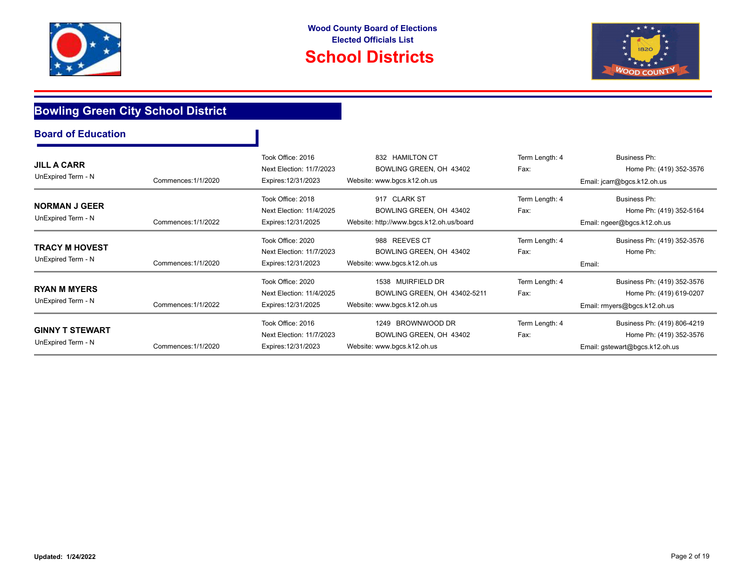



T



## **Bowling Green City School District**

| <b>JILL A CARR</b><br>UnExpired Term - N     | Commences: 1/1/2020 | Took Office: 2016<br>Next Election: 11/7/2023<br>Expires: 12/31/2023 | 832 HAMILTON CT<br>BOWLING GREEN, OH 43402<br>Website: www.bgcs.k12.oh.us           | Term Length: 4<br>Fax: | <b>Business Ph:</b><br>Home Ph: (419) 352-3576<br>Email: jcarr@bgcs.k12.oh.us            |
|----------------------------------------------|---------------------|----------------------------------------------------------------------|-------------------------------------------------------------------------------------|------------------------|------------------------------------------------------------------------------------------|
| <b>NORMAN J GEER</b><br>UnExpired Term - N   | Commences: 1/1/2022 | Took Office: 2018<br>Next Election: 11/4/2025<br>Expires: 12/31/2025 | 917 CLARK ST<br>BOWLING GREEN, OH 43402<br>Website: http://www.bgcs.k12.oh.us/board | Term Length: 4<br>Fax: | Business Ph:<br>Home Ph: (419) 352-5164<br>Email: ngeer@bgcs.k12.oh.us                   |
| TRACY M HOVEST<br>UnExpired Term - N         | Commences: 1/1/2020 | Took Office: 2020<br>Next Election: 11/7/2023<br>Expires: 12/31/2023 | 988 REEVES CT<br>BOWLING GREEN, OH 43402<br>Website: www.bgcs.k12.oh.us             | Term Length: 4<br>Fax: | Business Ph: (419) 352-3576<br>Home Ph:<br>Email:                                        |
| <b>RYAN M MYERS</b><br>UnExpired Term - N    | Commences: 1/1/2022 | Took Office: 2020<br>Next Election: 11/4/2025<br>Expires: 12/31/2025 | 1538 MUIRFIELD DR<br>BOWLING GREEN, OH 43402-5211<br>Website: www.bgcs.k12.oh.us    | Term Length: 4<br>Fax: | Business Ph: (419) 352-3576<br>Home Ph: (419) 619-0207<br>Email: rmyers@bgcs.k12.oh.us   |
| <b>GINNY T STEWART</b><br>UnExpired Term - N | Commences: 1/1/2020 | Took Office: 2016<br>Next Election: 11/7/2023<br>Expires: 12/31/2023 | 1249 BROWNWOOD DR<br>BOWLING GREEN, OH 43402<br>Website: www.bgcs.k12.oh.us         | Term Length: 4<br>Fax: | Business Ph: (419) 806-4219<br>Home Ph: (419) 352-3576<br>Email: gstewart@bgcs.k12.oh.us |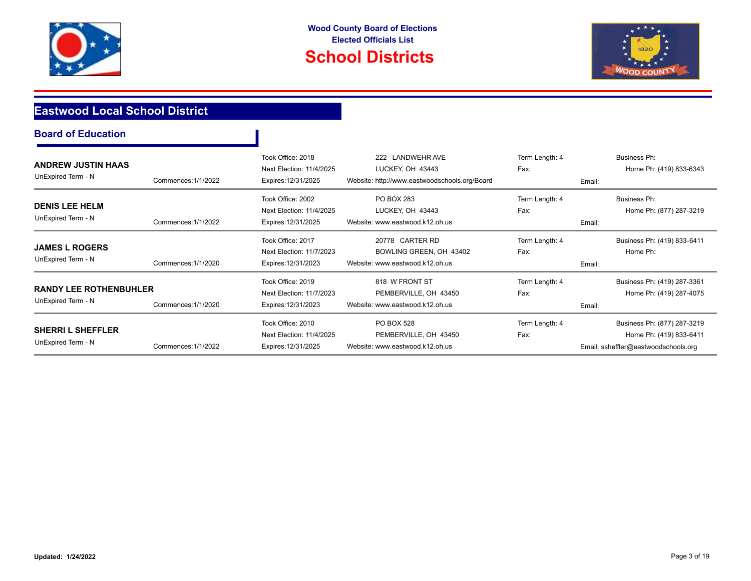

# **School Districts**



## **Eastwood Local School District**

| <b>Board of Education</b> |  |
|---------------------------|--|
|---------------------------|--|

| <b>ANDREW JUSTIN HAAS</b>     |                     | Took Office: 2018<br>Next Election: 11/4/2025 | 222 LANDWEHR AVE<br>LUCKEY, OH 43443          | Term Length: 4<br>Fax: | Business Ph:<br>Home Ph: (419) 833-6343 |
|-------------------------------|---------------------|-----------------------------------------------|-----------------------------------------------|------------------------|-----------------------------------------|
| UnExpired Term - N            | Commences: 1/1/2022 | Expires: 12/31/2025                           | Website: http://www.eastwoodschools.org/Board |                        | Email:                                  |
| <b>DENIS LEE HELM</b>         |                     | Took Office: 2002                             | <b>PO BOX 283</b>                             | Term Length: 4         | Business Ph:                            |
|                               |                     | Next Election: 11/4/2025                      | LUCKEY, OH 43443                              | Fax:                   | Home Ph: (877) 287-3219                 |
| UnExpired Term - N            | Commences: 1/1/2022 | Expires: 12/31/2025                           | Website: www.eastwood.k12.oh.us               |                        | Email:                                  |
|                               |                     | Took Office: 2017                             | 20778 CARTER RD                               | Term Length: 4         | Business Ph: (419) 833-6411             |
| <b>JAMES L ROGERS</b>         |                     | Next Election: 11/7/2023                      | BOWLING GREEN, OH 43402                       | Fax:                   | Home Ph:                                |
| UnExpired Term - N            | Commences: 1/1/2020 | Expires: 12/31/2023                           | Website: www.eastwood.k12.oh.us               |                        | Email:                                  |
|                               |                     | Took Office: 2019                             | 818 W FRONT ST                                | Term Length: 4         | Business Ph: (419) 287-3361             |
| <b>RANDY LEE ROTHENBUHLER</b> |                     | Next Election: 11/7/2023                      | PEMBERVILLE, OH 43450                         | Fax:                   | Home Ph: (419) 287-4075                 |
| UnExpired Term - N            | Commences: 1/1/2020 | Expires: 12/31/2023                           | Website: www.eastwood.k12.oh.us               |                        | Email:                                  |
|                               |                     | Took Office: 2010                             | <b>PO BOX 528</b>                             | Term Length: 4         | Business Ph: (877) 287-3219             |
| <b>SHERRI L SHEFFLER</b>      |                     | Next Election: 11/4/2025                      | PEMBERVILLE, OH 43450                         | Fax:                   | Home Ph: (419) 833-6411                 |
| UnExpired Term - N            | Commences: 1/1/2022 | Expires: 12/31/2025                           | Website: www.eastwood.k12.oh.us               |                        | Email: ssheffler@eastwoodschools.org    |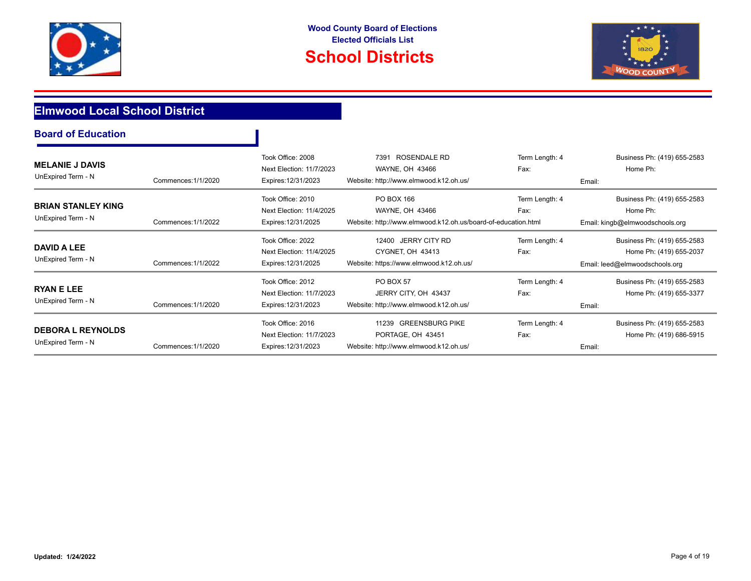



## **Elmwood Local School District**

| <b>Board of Education</b> |  |  |  |
|---------------------------|--|--|--|
|---------------------------|--|--|--|

| <b>MELANIE J DAVIS</b><br>UnExpired Term - N    | Commences: 1/1/2020 | Took Office: 2008<br>Next Election: 11/7/2023<br>Expires: 12/31/2023 | <b>ROSENDALE RD</b><br>7391<br>WAYNE, OH 43466<br>Website: http://www.elmwood.k12.oh.us/       | Term Length: 4<br>Fax: | Business Ph: (419) 655-2583<br>Home Ph:<br>Email:                                        |
|-------------------------------------------------|---------------------|----------------------------------------------------------------------|------------------------------------------------------------------------------------------------|------------------------|------------------------------------------------------------------------------------------|
| <b>BRIAN STANLEY KING</b><br>UnExpired Term - N | Commences: 1/1/2022 | Took Office: 2010<br>Next Election: 11/4/2025<br>Expires: 12/31/2025 | PO BOX 166<br>WAYNE, OH 43466<br>Website: http://www.elmwood.k12.oh.us/board-of-education.html | Term Length: 4<br>Fax: | Business Ph: (419) 655-2583<br>Home Ph:<br>Email: kingb@elmwoodschools.org               |
| DAVID A LEE<br>UnExpired Term - N               | Commences: 1/1/2022 | Took Office: 2022<br>Next Election: 11/4/2025<br>Expires: 12/31/2025 | 12400 JERRY CITY RD<br>CYGNET, OH 43413<br>Website: https://www.elmwood.k12.oh.us/             | Term Length: 4<br>Fax: | Business Ph: (419) 655-2583<br>Home Ph: (419) 655-2037<br>Email: leed@elmwoodschools.org |
| <b>RYAN E LEE</b><br>UnExpired Term - N         | Commences: 1/1/2020 | Took Office: 2012<br>Next Election: 11/7/2023<br>Expires: 12/31/2023 | <b>PO BOX 57</b><br>JERRY CITY, OH 43437<br>Website: http://www.elmwood.k12.oh.us/             | Term Length: 4<br>Fax: | Business Ph: (419) 655-2583<br>Home Ph: (419) 655-3377<br>Email:                         |
| <b>DEBORA L REYNOLDS</b><br>UnExpired Term - N  | Commences: 1/1/2020 | Took Office: 2016<br>Next Election: 11/7/2023<br>Expires: 12/31/2023 | 11239 GREENSBURG PIKE<br>PORTAGE, OH 43451<br>Website: http://www.elmwood.k12.oh.us/           | Term Length: 4<br>Fax: | Business Ph: (419) 655-2583<br>Home Ph: (419) 686-5915<br>Email:                         |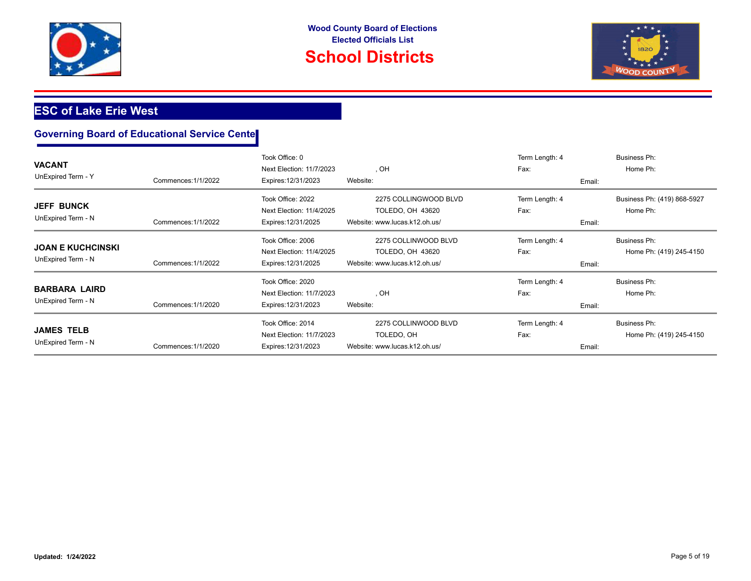

# **School Districts**



## **ESC of Lake Erie West**

| <b>VACANT</b><br>UnExpired Term - Y            | Commences: 1/1/2022 | Took Office: 0<br>Next Election: 11/7/2023<br>Expires: 12/31/2023    | . OH<br>Website:                                                           | Term Length: 4<br>Fax:<br>Email: | Business Ph:<br>Home Ph:                       |
|------------------------------------------------|---------------------|----------------------------------------------------------------------|----------------------------------------------------------------------------|----------------------------------|------------------------------------------------|
| <b>JEFF BUNCK</b><br>UnExpired Term - N        | Commences: 1/1/2022 | Took Office: 2022<br>Next Election: 11/4/2025<br>Expires: 12/31/2025 | 2275 COLLINGWOOD BLVD<br>TOLEDO, OH 43620<br>Website: www.lucas.k12.oh.us/ | Term Length: 4<br>Fax:<br>Email: | Business Ph: (419) 868-5927<br>Home Ph:        |
| <b>JOAN E KUCHCINSKI</b><br>UnExpired Term - N | Commences: 1/1/2022 | Took Office: 2006<br>Next Election: 11/4/2025<br>Expires: 12/31/2025 | 2275 COLLINWOOD BLVD<br>TOLEDO, OH 43620<br>Website: www.lucas.k12.oh.us/  | Term Length: 4<br>Fax:<br>Email: | <b>Business Ph:</b><br>Home Ph: (419) 245-4150 |
| <b>BARBARA LAIRD</b><br>UnExpired Term - N     | Commences: 1/1/2020 | Took Office: 2020<br>Next Election: 11/7/2023<br>Expires: 12/31/2023 | , OH<br>Website:                                                           | Term Length: 4<br>Fax:<br>Email: | Business Ph:<br>Home Ph:                       |
| <b>JAMES TELB</b><br>UnExpired Term - N        | Commences: 1/1/2020 | Took Office: 2014<br>Next Election: 11/7/2023<br>Expires: 12/31/2023 | 2275 COLLINWOOD BLVD<br>TOLEDO, OH<br>Website: www.lucas.k12.oh.us/        | Term Length: 4<br>Fax:<br>Email: | Business Ph:<br>Home Ph: (419) 245-4150        |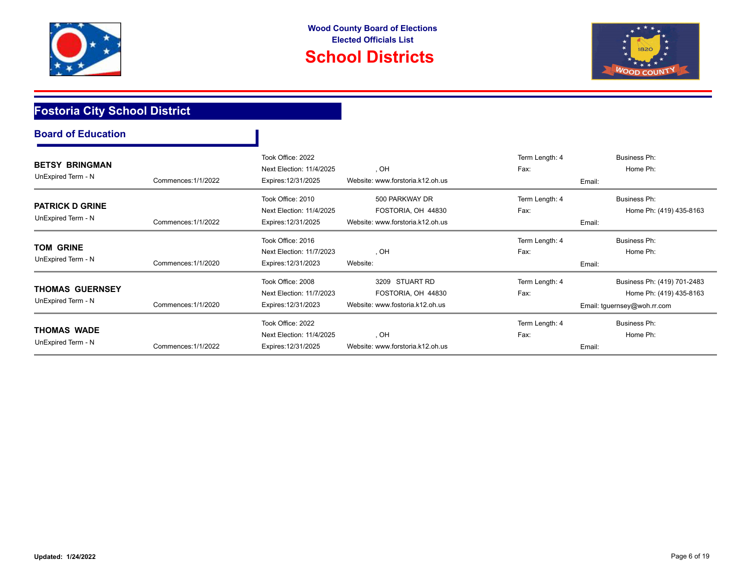



## **Fostoria City School District**

| <b>BETSY BRINGMAN</b><br>UnExpired Term - N | Commences: 1/1/2022 | Took Office: 2022<br>Next Election: 11/4/2025<br>Expires: 12/31/2025 | , OH<br>Website: www.forstoria.k12.oh.us | Term Length: 4<br>Fax:<br>Email: | Business Ph:<br>Home Ph:    |
|---------------------------------------------|---------------------|----------------------------------------------------------------------|------------------------------------------|----------------------------------|-----------------------------|
|                                             |                     |                                                                      |                                          |                                  |                             |
|                                             |                     | Took Office: 2010                                                    | 500 PARKWAY DR                           | Term Length: 4                   | Business Ph:                |
| <b>PATRICK D GRINE</b>                      |                     | Next Election: 11/4/2025                                             | FOSTORIA, OH 44830                       | Fax:                             | Home Ph: (419) 435-8163     |
| UnExpired Term - N                          | Commences: 1/1/2022 | Expires: 12/31/2025                                                  | Website: www.forstoria.k12.oh.us         | Email:                           |                             |
|                                             |                     | Took Office: 2016                                                    |                                          | Term Length: 4                   | Business Ph:                |
| <b>TOM GRINE</b>                            |                     | Next Election: 11/7/2023                                             | . OH                                     | Fax:                             | Home Ph:                    |
| UnExpired Term - N                          | Commences: 1/1/2020 | Expires: 12/31/2023                                                  | Website:                                 | Email:                           |                             |
|                                             |                     | Took Office: 2008                                                    | 3209 STUART RD                           | Term Length: 4                   | Business Ph: (419) 701-2483 |
| <b>THOMAS GUERNSEY</b>                      |                     | Next Election: 11/7/2023                                             | FOSTORIA, OH 44830                       | Fax:                             | Home Ph: (419) 435-8163     |
| UnExpired Term - N                          | Commences: 1/1/2020 | Expires: 12/31/2023                                                  | Website: www.fostoria.k12.oh.us          |                                  | Email: tguernsey@woh.rr.com |
|                                             |                     | Took Office: 2022                                                    |                                          | Term Length: 4                   | Business Ph:                |
| <b>THOMAS WADE</b>                          |                     | Next Election: 11/4/2025                                             | , OH                                     | Fax:                             | Home Ph:                    |
| UnExpired Term - N                          | Commences: 1/1/2022 | Expires: 12/31/2025                                                  | Website: www.forstoria.k12.oh.us         | Email:                           |                             |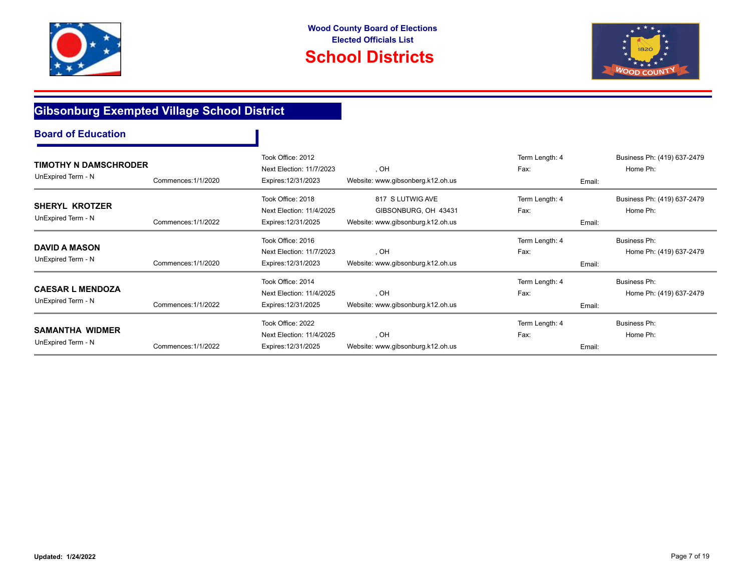



## **Gibsonburg Exempted Village School District**

| <b>TIMOTHY N DAMSCHRODER</b><br>UnExpired Term - N | Commences: 1/1/2020 | Took Office: 2012<br>Next Election: 11/7/2023<br>Expires: 12/31/2023 | , OH<br>Website: www.gibsonberg.k12.oh.us                                     | Term Length: 4<br>Fax:<br>Email: | Business Ph: (419) 637-2479<br>Home Ph: |
|----------------------------------------------------|---------------------|----------------------------------------------------------------------|-------------------------------------------------------------------------------|----------------------------------|-----------------------------------------|
| <b>SHERYL KROTZER</b><br>UnExpired Term - N        | Commences: 1/1/2022 | Took Office: 2018<br>Next Election: 11/4/2025<br>Expires: 12/31/2025 | 817 S LUTWIG AVE<br>GIBSONBURG, OH 43431<br>Website: www.gibsonburg.k12.oh.us | Term Length: 4<br>Fax:<br>Email: | Business Ph: (419) 637-2479<br>Home Ph: |
| <b>DAVID A MASON</b><br>UnExpired Term - N         | Commences: 1/1/2020 | Took Office: 2016<br>Next Election: 11/7/2023<br>Expires: 12/31/2023 | , OH<br>Website: www.gibsonburg.k12.oh.us                                     | Term Length: 4<br>Fax:<br>Email: | Business Ph:<br>Home Ph: (419) 637-2479 |
| <b>CAESAR L MENDOZA</b><br>UnExpired Term - N      | Commences: 1/1/2022 | Took Office: 2014<br>Next Election: 11/4/2025<br>Expires: 12/31/2025 | , OH<br>Website: www.gibsonburg.k12.oh.us                                     | Term Length: 4<br>Fax:<br>Email: | Business Ph:<br>Home Ph: (419) 637-2479 |
| <b>SAMANTHA WIDMER</b><br>UnExpired Term - N       | Commences: 1/1/2022 | Took Office: 2022<br>Next Election: 11/4/2025<br>Expires: 12/31/2025 | , OH<br>Website: www.gibsonburg.k12.oh.us                                     | Term Length: 4<br>Fax:<br>Email: | Business Ph:<br>Home Ph:                |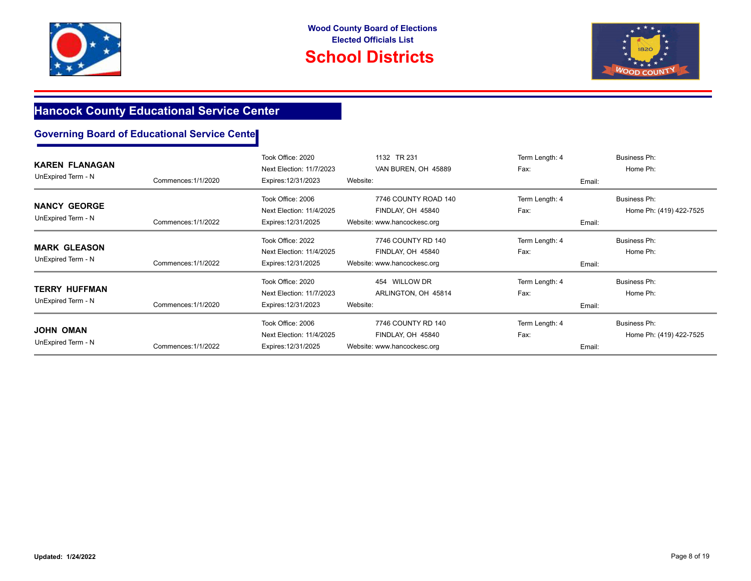



## **Hancock County Educational Service Center**

| <b>KAREN FLANAGAN</b><br>UnExpired Term - N | Commences: 1/1/2020 | Took Office: 2020<br>Next Election: 11/7/2023<br>Expires: 12/31/2023 | 1132 TR 231<br>VAN BUREN, OH 45889<br>Website:                           | Term Length: 4<br>Fax:<br>Email: | Business Ph:<br>Home Ph:                |
|---------------------------------------------|---------------------|----------------------------------------------------------------------|--------------------------------------------------------------------------|----------------------------------|-----------------------------------------|
| <b>NANCY GEORGE</b><br>UnExpired Term - N   | Commences: 1/1/2022 | Took Office: 2006<br>Next Election: 11/4/2025<br>Expires: 12/31/2025 | 7746 COUNTY ROAD 140<br>FINDLAY, OH 45840<br>Website: www.hancockesc.org | Term Length: 4<br>Fax:<br>Email: | Business Ph:<br>Home Ph: (419) 422-7525 |
| <b>MARK GLEASON</b><br>UnExpired Term - N   | Commences: 1/1/2022 | Took Office: 2022<br>Next Election: 11/4/2025<br>Expires: 12/31/2025 | 7746 COUNTY RD 140<br>FINDLAY, OH 45840<br>Website: www.hancockesc.org   | Term Length: 4<br>Fax:<br>Email: | Business Ph:<br>Home Ph:                |
| <b>TERRY HUFFMAN</b><br>UnExpired Term - N  | Commences: 1/1/2020 | Took Office: 2020<br>Next Election: 11/7/2023<br>Expires: 12/31/2023 | 454 WILLOW DR<br>ARLINGTON, OH 45814<br>Website:                         | Term Length: 4<br>Fax:<br>Email: | Business Ph:<br>Home Ph:                |
| <b>JOHN OMAN</b><br>UnExpired Term - N      | Commences: 1/1/2022 | Took Office: 2006<br>Next Election: 11/4/2025<br>Expires: 12/31/2025 | 7746 COUNTY RD 140<br>FINDLAY, OH 45840<br>Website: www.hancockesc.org   | Term Length: 4<br>Fax:<br>Email: | Business Ph:<br>Home Ph: (419) 422-7525 |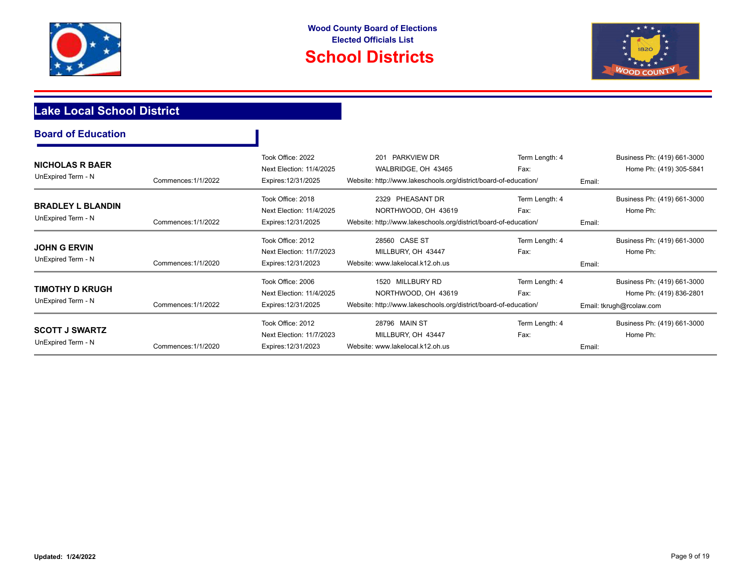

T





## **Lake Local School District**

| <b>NICHOLAS R BAER</b><br>UnExpired Term - N | Commences: 1/1/2022 | Took Office: 2022<br>Next Election: 11/4/2025<br>Expires: 12/31/2025 | <b>PARKVIEW DR</b><br>201<br>WALBRIDGE, OH 43465<br>Website: http://www.lakeschools.org/district/board-of-education/ | Term Length: 4<br>Fax: | Business Ph: (419) 661-3000<br>Home Ph: (419) 305-5841 |
|----------------------------------------------|---------------------|----------------------------------------------------------------------|----------------------------------------------------------------------------------------------------------------------|------------------------|--------------------------------------------------------|
|                                              |                     |                                                                      |                                                                                                                      |                        | Email:                                                 |
|                                              |                     | Took Office: 2018                                                    | 2329 PHEASANT DR                                                                                                     | Term Length: 4         | Business Ph: (419) 661-3000                            |
| <b>BRADLEY L BLANDIN</b>                     |                     | Next Election: 11/4/2025                                             | NORTHWOOD, OH 43619                                                                                                  | Fax:                   | Home Ph:                                               |
| UnExpired Term - N                           | Commences: 1/1/2022 | Expires: 12/31/2025                                                  | Website: http://www.lakeschools.org/district/board-of-education/                                                     |                        | Email:                                                 |
|                                              |                     | Took Office: 2012                                                    | 28560 CASE ST                                                                                                        | Term Length: 4         | Business Ph: (419) 661-3000                            |
| <b>JOHN G ERVIN</b>                          |                     | Next Election: 11/7/2023                                             | MILLBURY, OH 43447                                                                                                   | Fax:                   | Home Ph:                                               |
| UnExpired Term - N                           | Commences: 1/1/2020 | Expires: 12/31/2023                                                  | Website: www.lakelocal.k12.oh.us                                                                                     |                        | Email:                                                 |
|                                              |                     | Took Office: 2006                                                    | <b>MILLBURY RD</b><br>1520                                                                                           | Term Length: 4         | Business Ph: (419) 661-3000                            |
| TIMOTHY D KRUGH                              |                     | Next Election: 11/4/2025                                             | NORTHWOOD, OH 43619                                                                                                  | Fax:                   | Home Ph: (419) 836-2801                                |
| UnExpired Term - N                           | Commences: 1/1/2022 | Expires: 12/31/2025                                                  | Website: http://www.lakeschools.org/district/board-of-education/                                                     |                        | Email: tkrugh@rcolaw.com                               |
|                                              |                     | Took Office: 2012                                                    | 28796 MAIN ST                                                                                                        | Term Length: 4         | Business Ph: (419) 661-3000                            |
| <b>SCOTT J SWARTZ</b>                        |                     | Next Election: 11/7/2023                                             | MILLBURY, OH 43447                                                                                                   | Fax:                   | Home Ph:                                               |
| UnExpired Term - N                           | Commences: 1/1/2020 | Expires: 12/31/2023                                                  | Website: www.lakelocal.k12.oh.us                                                                                     |                        | Email:                                                 |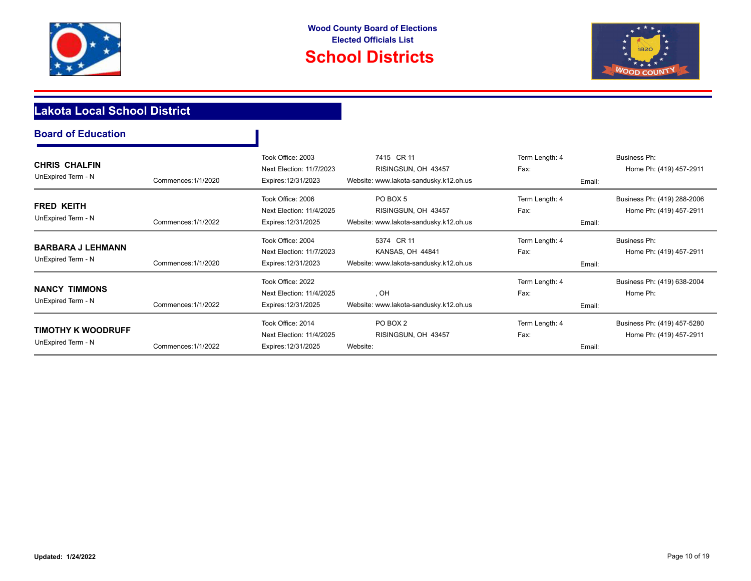



## **Lakota Local School District**

| <b>Board of Education</b>                       |                     |                                                                      |                                                                             |                                  |                                                        |
|-------------------------------------------------|---------------------|----------------------------------------------------------------------|-----------------------------------------------------------------------------|----------------------------------|--------------------------------------------------------|
| <b>CHRIS CHALFIN</b><br>UnExpired Term - N      | Commences: 1/1/2020 | Took Office: 2003<br>Next Election: 11/7/2023<br>Expires: 12/31/2023 | 7415 CR 11<br>RISINGSUN, OH 43457<br>Website: www.lakota-sandusky.k12.oh.us | Term Length: 4<br>Fax:<br>Email: | <b>Business Ph:</b><br>Home Ph: (419) 457-2911         |
| <b>FRED KEITH</b><br>UnExpired Term - N         | Commences: 1/1/2022 | Took Office: 2006<br>Next Election: 11/4/2025<br>Expires: 12/31/2025 | PO BOX 5<br>RISINGSUN, OH 43457<br>Website: www.lakota-sandusky.k12.oh.us   | Term Length: 4<br>Fax:<br>Email: | Business Ph: (419) 288-2006<br>Home Ph: (419) 457-2911 |
| <b>BARBARA J LEHMANN</b><br>UnExpired Term - N  | Commences: 1/1/2020 | Took Office: 2004<br>Next Election: 11/7/2023<br>Expires: 12/31/2023 | 5374 CR 11<br>KANSAS, OH 44841<br>Website: www.lakota-sandusky.k12.oh.us    | Term Length: 4<br>Fax:<br>Email: | <b>Business Ph:</b><br>Home Ph: (419) 457-2911         |
| <b>NANCY TIMMONS</b><br>UnExpired Term - N      | Commences: 1/1/2022 | Took Office: 2022<br>Next Election: 11/4/2025<br>Expires: 12/31/2025 | , OH<br>Website: www.lakota-sandusky.k12.oh.us                              | Term Length: 4<br>Fax:<br>Email: | Business Ph: (419) 638-2004<br>Home Ph:                |
| <b>TIMOTHY K WOODRUFF</b><br>UnExpired Term - N | Commences: 1/1/2022 | Took Office: 2014<br>Next Election: 11/4/2025<br>Expires: 12/31/2025 | PO BOX 2<br>RISINGSUN, OH 43457<br>Website:                                 | Term Length: 4<br>Fax:<br>Email: | Business Ph: (419) 457-5280<br>Home Ph: (419) 457-2911 |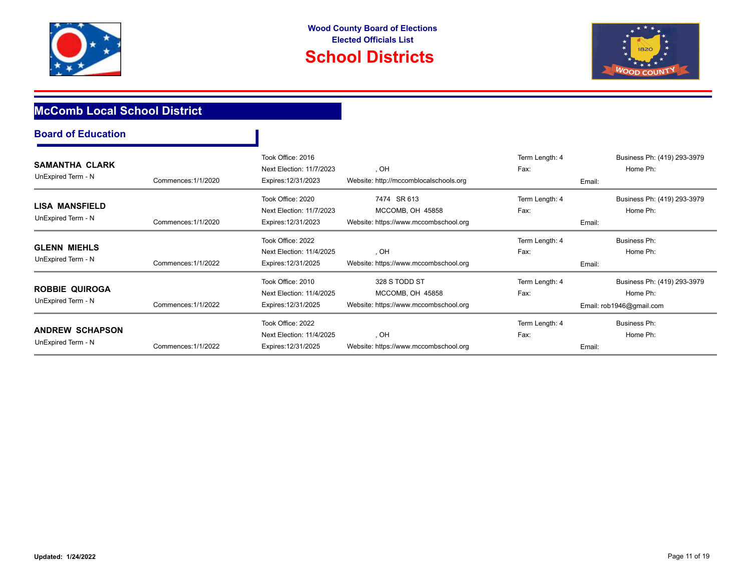



## **McComb Local School District**

| <b>SAMANTHA CLARK</b><br>UnExpired Term - N  | Commences: 1/1/2020 | Took Office: 2016<br>Next Election: 11/7/2023<br>Expires: 12/31/2023 | , OH<br>Website: http://mccomblocalschools.org                             | Term Length: 4<br>Fax:<br>Email: | Business Ph: (419) 293-3979<br>Home Ph:                             |
|----------------------------------------------|---------------------|----------------------------------------------------------------------|----------------------------------------------------------------------------|----------------------------------|---------------------------------------------------------------------|
| LISA MANSFIELD<br>UnExpired Term - N         | Commences: 1/1/2020 | Took Office: 2020<br>Next Election: 11/7/2023<br>Expires: 12/31/2023 | 7474 SR 613<br>MCCOMB, OH 45858<br>Website: https://www.mccombschool.org   | Term Length: 4<br>Fax:<br>Email: | Business Ph: (419) 293-3979<br>Home Ph:                             |
| <b>GLENN MIEHLS</b><br>UnExpired Term - N    | Commences: 1/1/2022 | Took Office: 2022<br>Next Election: 11/4/2025<br>Expires: 12/31/2025 | , OH<br>Website: https://www.mccombschool.org                              | Term Length: 4<br>Fax:<br>Email: | Business Ph:<br>Home Ph:                                            |
| <b>ROBBIE QUIROGA</b><br>UnExpired Term - N  | Commences: 1/1/2022 | Took Office: 2010<br>Next Election: 11/4/2025<br>Expires: 12/31/2025 | 328 S TODD ST<br>MCCOMB, OH 45858<br>Website: https://www.mccombschool.org | Term Length: 4<br>Fax:           | Business Ph: (419) 293-3979<br>Home Ph:<br>Email: rob1946@gmail.com |
| <b>ANDREW SCHAPSON</b><br>UnExpired Term - N | Commences: 1/1/2022 | Took Office: 2022<br>Next Election: 11/4/2025<br>Expires: 12/31/2025 | , OH<br>Website: https://www.mccombschool.org                              | Term Length: 4<br>Fax:<br>Email: | Business Ph:<br>Home Ph:                                            |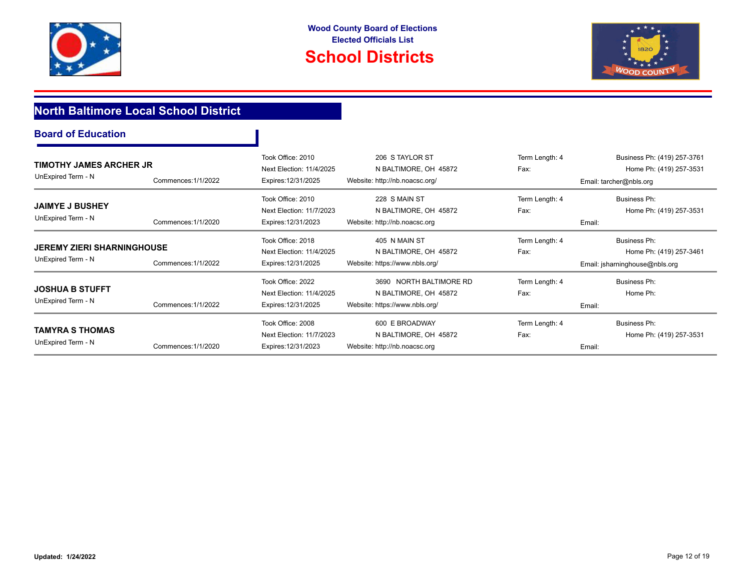



## **North Baltimore Local School District**

| TIMOTHY JAMES ARCHER JR<br>UnExpired Term - N           | Commences: 1/1/2022 | Took Office: 2010<br>Next Election: 11/4/2025<br>Expires: 12/31/2025 | 206 S TAYLOR ST<br>N BALTIMORE, OH 45872<br>Website: http://nb.noacsc.org/         | Term Length: 4<br>Fax:           | Business Ph: (419) 257-3761<br>Home Ph: (419) 257-3531<br>Email: tarcher@nbls.org |
|---------------------------------------------------------|---------------------|----------------------------------------------------------------------|------------------------------------------------------------------------------------|----------------------------------|-----------------------------------------------------------------------------------|
| <b>JAIMYE J BUSHEY</b><br>UnExpired Term - N            | Commences: 1/1/2020 | Took Office: 2010<br>Next Election: 11/7/2023<br>Expires: 12/31/2023 | 228 S MAIN ST<br>N BALTIMORE, OH 45872<br>Website: http://nb.noacsc.org            | Term Length: 4<br>Fax:<br>Email: | Business Ph:<br>Home Ph: (419) 257-3531                                           |
| <b>JEREMY ZIERI SHARNINGHOUSE</b><br>UnExpired Term - N | Commences: 1/1/2022 | Took Office: 2018<br>Next Election: 11/4/2025<br>Expires: 12/31/2025 | 405 N MAIN ST<br>N BALTIMORE, OH 45872<br>Website: https://www.nbls.org/           | Term Length: 4<br>Fax:           | Business Ph:<br>Home Ph: (419) 257-3461<br>Email: jsharninghouse@nbls.org         |
| <b>JOSHUA B STUFFT</b><br>UnExpired Term - N            | Commences: 1/1/2022 | Took Office: 2022<br>Next Election: 11/4/2025<br>Expires: 12/31/2025 | 3690 NORTH BALTIMORE RD<br>N BALTIMORE, OH 45872<br>Website: https://www.nbls.org/ | Term Length: 4<br>Fax:<br>Email: | Business Ph:<br>Home Ph:                                                          |
| <b>TAMYRA S THOMAS</b><br>UnExpired Term - N            | Commences: 1/1/2020 | Took Office: 2008<br>Next Election: 11/7/2023<br>Expires: 12/31/2023 | 600 E BROADWAY<br>N BALTIMORE, OH 45872<br>Website: http://nb.noacsc.org           | Term Length: 4<br>Fax:<br>Email: | Business Ph:<br>Home Ph: (419) 257-3531                                           |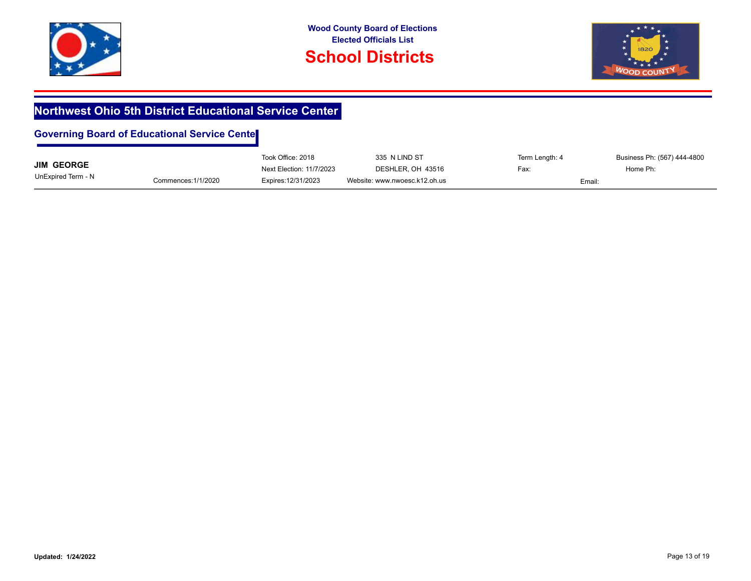



## **Northwest Ohio 5th District Educational Service Center**

|                    |                     | Took Office: 2018        | 335 N LIND ST                 | Term Length: 4 | Business Ph: (567) 444-4800 |
|--------------------|---------------------|--------------------------|-------------------------------|----------------|-----------------------------|
| <b>JIM GEORGE</b>  |                     | Next Election: 11/7/2023 | DESHLER, OH 43516             | Fax:           | Home Ph:                    |
| UnExpired Term - N | Commences: 1/1/2020 | Expires: 12/31/2023      | Website: www.nwoesc.k12.oh.us |                | Email:                      |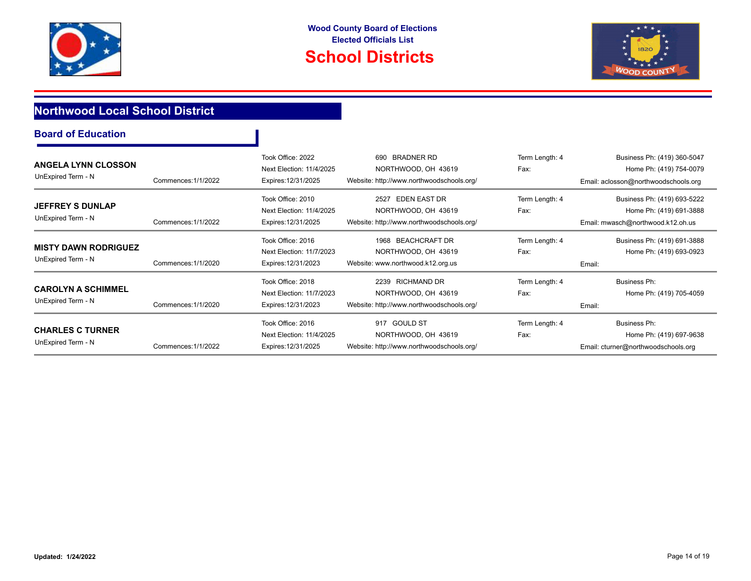





## **Northwood Local School District**

|  |  | <b>Board of Education</b> |
|--|--|---------------------------|
|--|--|---------------------------|

| <b>ANGELA LYNN CLOSSON</b><br>UnExpired Term - N  | Commences: 1/1/2022 | Took Office: 2022<br>Next Election: 11/4/2025<br>Expires: 12/31/2025 | 690 BRADNER RD<br>NORTHWOOD, OH 43619<br>Website: http://www.northwoodschools.org/              | Term Length: 4<br>Fax: | Business Ph: (419) 360-5047<br>Home Ph: (419) 754-0079<br>Email: aclosson@northwoodschools.org |
|---------------------------------------------------|---------------------|----------------------------------------------------------------------|-------------------------------------------------------------------------------------------------|------------------------|------------------------------------------------------------------------------------------------|
| <b>JEFFREY S DUNLAP</b><br>UnExpired Term - N     | Commences: 1/1/2022 | Took Office: 2010<br>Next Election: 11/4/2025<br>Expires: 12/31/2025 | <b>EDEN EAST DR</b><br>2527<br>NORTHWOOD, OH 43619<br>Website: http://www.northwoodschools.org/ | Term Length: 4<br>Fax: | Business Ph: (419) 693-5222<br>Home Ph: (419) 691-3888<br>Email: mwasch@northwood.k12.oh.us    |
| <b>MISTY DAWN RODRIGUEZ</b><br>UnExpired Term - N | Commences: 1/1/2020 | Took Office: 2016<br>Next Election: 11/7/2023<br>Expires: 12/31/2023 | 1968 BEACHCRAFT DR<br>NORTHWOOD, OH 43619<br>Website: www.northwood.k12.org.us                  | Term Length: 4<br>Fax: | Business Ph: (419) 691-3888<br>Home Ph: (419) 693-0923<br>Email:                               |
| <b>CAROLYN A SCHIMMEL</b><br>UnExpired Term - N   | Commences: 1/1/2020 | Took Office: 2018<br>Next Election: 11/7/2023<br>Expires: 12/31/2023 | 2239 RICHMAND DR<br>NORTHWOOD, OH 43619<br>Website: http://www.northwoodschools.org/            | Term Length: 4<br>Fax: | Business Ph:<br>Home Ph: (419) 705-4059<br>Email:                                              |
| <b>CHARLES C TURNER</b><br>UnExpired Term - N     | Commences: 1/1/2022 | Took Office: 2016<br>Next Election: 11/4/2025<br>Expires: 12/31/2025 | 917 GOULD ST<br>NORTHWOOD, OH 43619<br>Website: http://www.northwoodschools.org/                | Term Length: 4<br>Fax: | Business Ph:<br>Home Ph: (419) 697-9638<br>Email: cturner@northwoodschools.org                 |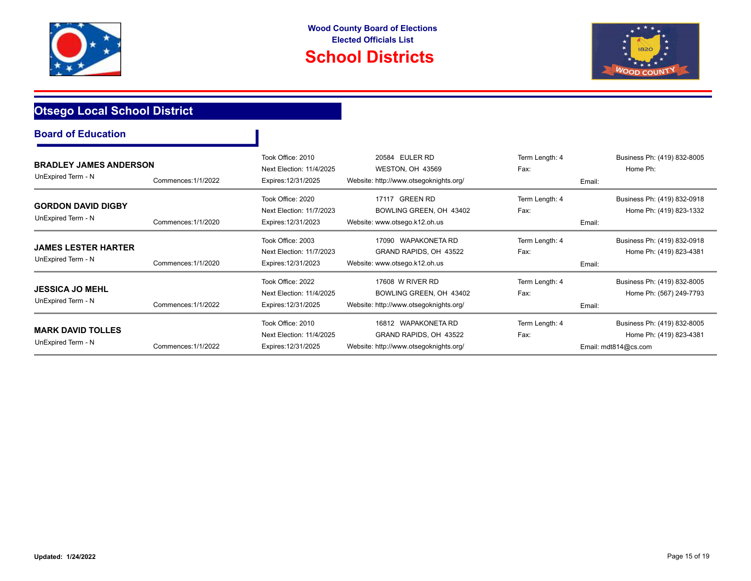

# **School Districts**



## **Otsego Local School District**

| <b>BRADLEY JAMES ANDERSON</b><br>UnExpired Term - N | Commences: 1/1/2022 | Took Office: 2010<br>Next Election: 11/4/2025<br>Expires: 12/31/2025 | 20584 EULER RD<br>WESTON, OH 43569<br>Website: http://www.otsegoknights.org/            | Term Length: 4<br>Fax: | Business Ph: (419) 832-8005<br>Home Ph:<br>Email:                              |
|-----------------------------------------------------|---------------------|----------------------------------------------------------------------|-----------------------------------------------------------------------------------------|------------------------|--------------------------------------------------------------------------------|
| GORDON DAVID DIGBY<br>UnExpired Term - N            | Commences: 1/1/2020 | Took Office: 2020<br>Next Election: 11/7/2023<br>Expires: 12/31/2023 | 17117 GREEN RD<br>BOWLING GREEN, OH 43402<br>Website: www.otsego.k12.oh.us              | Term Length: 4<br>Fax: | Business Ph: (419) 832-0918<br>Home Ph: (419) 823-1332<br>Email:               |
| JAMES LESTER HARTER<br>UnExpired Term - N           | Commences: 1/1/2020 | Took Office: 2003<br>Next Election: 11/7/2023<br>Expires: 12/31/2023 | 17090 WAPAKONETA RD<br>GRAND RAPIDS, OH 43522<br>Website: www.otsego.k12.oh.us          | Term Length: 4<br>Fax: | Business Ph: (419) 832-0918<br>Home Ph: (419) 823-4381<br>Email:               |
| JESSICA JO MEHL<br>UnExpired Term - N               | Commences: 1/1/2022 | Took Office: 2022<br>Next Election: 11/4/2025<br>Expires: 12/31/2025 | 17608 W RIVER RD<br>BOWLING GREEN, OH 43402<br>Website: http://www.otsegoknights.org/   | Term Length: 4<br>Fax: | Business Ph: (419) 832-8005<br>Home Ph: (567) 249-7793<br>Email:               |
| <b>MARK DAVID TOLLES</b><br>UnExpired Term - N      | Commences: 1/1/2022 | Took Office: 2010<br>Next Election: 11/4/2025<br>Expires: 12/31/2025 | 16812 WAPAKONETA RD<br>GRAND RAPIDS, OH 43522<br>Website: http://www.otsegoknights.org/ | Term Length: 4<br>Fax: | Business Ph: (419) 832-8005<br>Home Ph: (419) 823-4381<br>Email: mdt814@cs.com |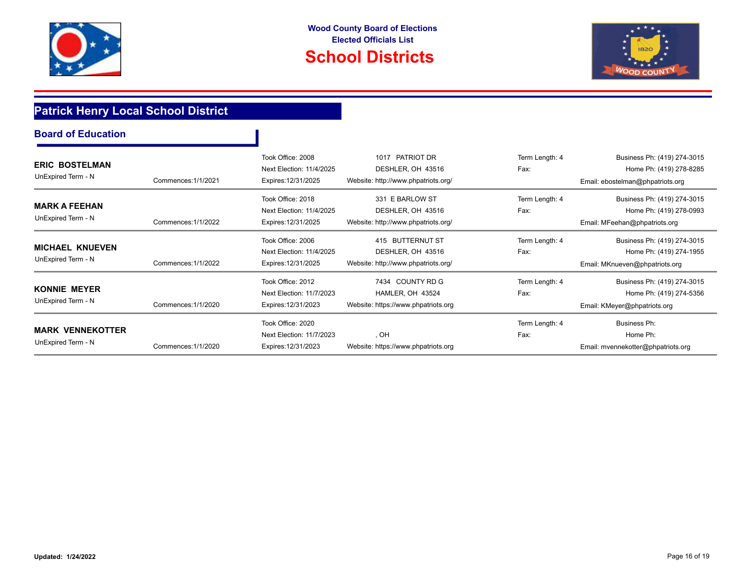



## **Patrick Henry Local School District**

|  | <b>Board of Education</b> |
|--|---------------------------|
|  |                           |

| <b>ERIC BOSTELMAN</b><br>UnExpired Term - N   | Commences: 1/1/2021 | Took Office: 2008<br>Next Election: 11/4/2025<br>Expires: 12/31/2025 | PATRIOT DR<br>1017<br>DESHLER, OH 43516<br>Website: http://www.phpatriots.org/ | Term Length: 4<br>Fax: | Business Ph: (419) 274-3015<br>Home Ph: (419) 278-8285<br>Email: ebostelman@phpatriots.org |
|-----------------------------------------------|---------------------|----------------------------------------------------------------------|--------------------------------------------------------------------------------|------------------------|--------------------------------------------------------------------------------------------|
| <b>MARK A FEEHAN</b><br>UnExpired Term - N    | Commences: 1/1/2022 | Took Office: 2018<br>Next Election: 11/4/2025<br>Expires: 12/31/2025 | 331 E BARLOW ST<br>DESHLER, OH 43516<br>Website: http://www.phpatriots.org/    | Term Length: 4<br>Fax: | Business Ph: (419) 274-3015<br>Home Ph: (419) 278-0993<br>Email: MFeehan@phpatriots.org    |
| <b>MICHAEL KNUEVEN</b><br>UnExpired Term - N  | Commences: 1/1/2022 | Took Office: 2006<br>Next Election: 11/4/2025<br>Expires: 12/31/2025 | 415 BUTTERNUT ST<br>DESHLER, OH 43516<br>Website: http://www.phpatriots.org/   | Term Length: 4<br>Fax: | Business Ph: (419) 274-3015<br>Home Ph: (419) 274-1955<br>Email: MKnueven@phpatriots.org   |
| <b>KONNIE MEYER</b><br>UnExpired Term - N     | Commences: 1/1/2020 | Took Office: 2012<br>Next Election: 11/7/2023<br>Expires: 12/31/2023 | 7434 COUNTY RD G<br>HAMLER, OH 43524<br>Website: https://www.phpatriots.org    | Term Length: 4<br>Fax: | Business Ph: (419) 274-3015<br>Home Ph: (419) 274-5356<br>Email: KMeyer@phpatriots.org     |
| <b>MARK VENNEKOTTER</b><br>UnExpired Term - N | Commences: 1/1/2020 | Took Office: 2020<br>Next Election: 11/7/2023<br>Expires: 12/31/2023 | , OH<br>Website: https://www.phpatriots.org                                    | Term Length: 4<br>Fax: | Business Ph:<br>Home Ph:<br>Email: mvennekotter@phpatriots.org                             |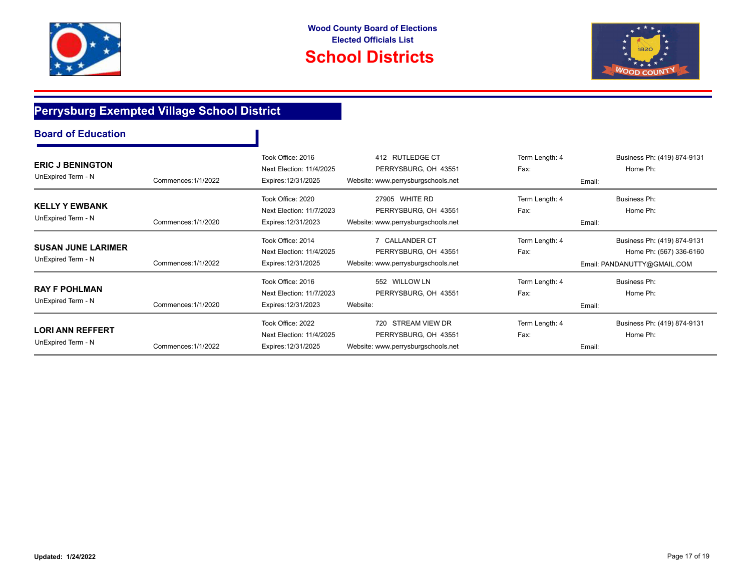



## **Perrysburg Exempted Village School District**

| <b>ERIC J BENINGTON</b><br>UnExpired Term - N   | Commences: 1/1/2022 | Took Office: 2016<br>Next Election: 11/4/2025<br>Expires: 12/31/2025 | 412 RUTLEDGE CT<br>PERRYSBURG, OH 43551<br>Website: www.perrysburgschools.net     | Term Length: 4<br>Fax:<br>Email: | Business Ph: (419) 874-9131<br>Home Ph:                                               |
|-------------------------------------------------|---------------------|----------------------------------------------------------------------|-----------------------------------------------------------------------------------|----------------------------------|---------------------------------------------------------------------------------------|
| <b>KELLY Y EWBANK</b><br>UnExpired Term - N     | Commences: 1/1/2020 | Took Office: 2020<br>Next Election: 11/7/2023<br>Expires: 12/31/2023 | 27905 WHITE RD<br>PERRYSBURG, OH 43551<br>Website: www.perrysburgschools.net      | Term Length: 4<br>Fax:<br>Email: | Business Ph:<br>Home Ph:                                                              |
| <b>SUSAN JUNE LARIMER</b><br>UnExpired Term - N | Commences: 1/1/2022 | Took Office: 2014<br>Next Election: 11/4/2025<br>Expires: 12/31/2025 | <b>CALLANDER CT</b><br>PERRYSBURG, OH 43551<br>Website: www.perrysburgschools.net | Term Length: 4<br>Fax:           | Business Ph: (419) 874-9131<br>Home Ph: (567) 336-6160<br>Email: PANDANUTTY@GMAIL.COM |
| <b>RAY F POHLMAN</b><br>UnExpired Term - N      | Commences: 1/1/2020 | Took Office: 2016<br>Next Election: 11/7/2023<br>Expires: 12/31/2023 | 552 WILLOW LN<br>PERRYSBURG, OH 43551<br>Website:                                 | Term Length: 4<br>Fax:<br>Email: | Business Ph:<br>Home Ph:                                                              |
| <b>LORI ANN REFFERT</b><br>UnExpired Term - N   | Commences: 1/1/2022 | Took Office: 2022<br>Next Election: 11/4/2025<br>Expires: 12/31/2025 | 720 STREAM VIEW DR<br>PERRYSBURG, OH 43551<br>Website: www.perrysburgschools.net  | Term Length: 4<br>Fax:<br>Email: | Business Ph: (419) 874-9131<br>Home Ph:                                               |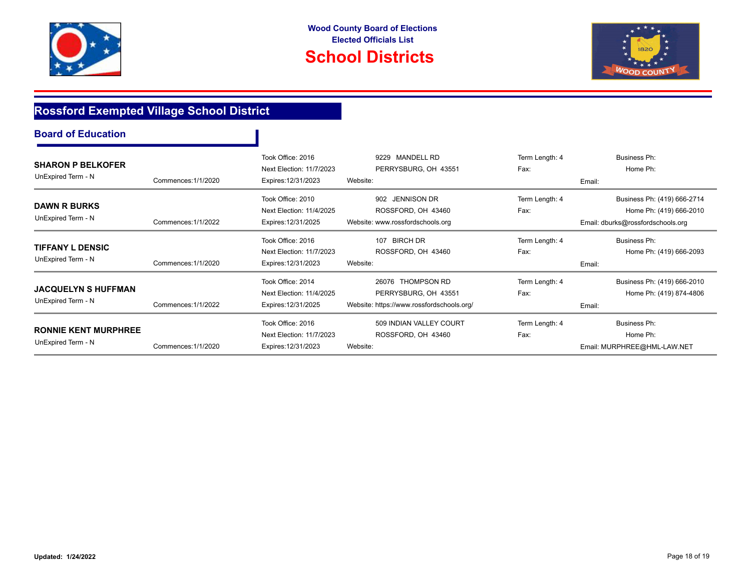



# **Rossford Exempted Village School District**

| <b>SHARON P BELKOFER</b><br>UnExpired Term - N    | Commences: 1/1/2020 | Took Office: 2016<br>Next Election: 11/7/2023<br>Expires: 12/31/2023 | 9229 MANDELL RD<br>PERRYSBURG, OH 43551<br>Website:                                    | Term Length: 4<br>Fax: | Business Ph:<br>Home Ph:<br>Email:                                                          |
|---------------------------------------------------|---------------------|----------------------------------------------------------------------|----------------------------------------------------------------------------------------|------------------------|---------------------------------------------------------------------------------------------|
| <b>DAWN R BURKS</b><br>UnExpired Term - N         | Commences: 1/1/2022 | Took Office: 2010<br>Next Election: 11/4/2025<br>Expires: 12/31/2025 | 902 JENNISON DR<br>ROSSFORD, OH 43460<br>Website: www.rossfordschools.org              | Term Length: 4<br>Fax: | Business Ph: (419) 666-2714<br>Home Ph: (419) 666-2010<br>Email: dburks@rossfordschools.org |
| <b>TIFFANY L DENSIC</b><br>UnExpired Term - N     | Commences: 1/1/2020 | Took Office: 2016<br>Next Election: 11/7/2023<br>Expires: 12/31/2023 | 107 BIRCH DR<br>ROSSFORD, OH 43460<br>Website:                                         | Term Length: 4<br>Fax: | Business Ph:<br>Home Ph: (419) 666-2093<br>Email:                                           |
| <b>JACQUELYN S HUFFMAN</b><br>UnExpired Term - N  | Commences: 1/1/2022 | Took Office: 2014<br>Next Election: 11/4/2025<br>Expires: 12/31/2025 | 26076 THOMPSON RD<br>PERRYSBURG, OH 43551<br>Website: https://www.rossfordschools.org/ | Term Length: 4<br>Fax: | Business Ph: (419) 666-2010<br>Home Ph: (419) 874-4806<br>Email:                            |
| <b>RONNIE KENT MURPHREE</b><br>UnExpired Term - N | Commences: 1/1/2020 | Took Office: 2016<br>Next Election: 11/7/2023<br>Expires: 12/31/2023 | 509 INDIAN VALLEY COURT<br>ROSSFORD, OH 43460<br>Website:                              | Term Length: 4<br>Fax: | Business Ph:<br>Home Ph:<br>Email: MURPHREE@HML-LAW.NET                                     |